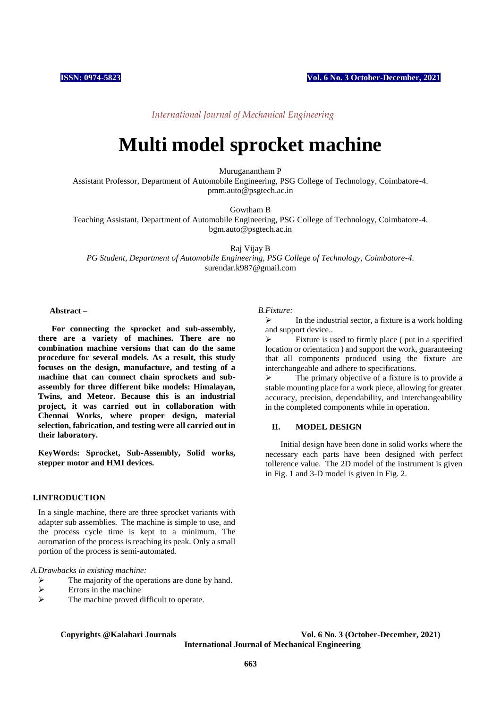*International Journal of Mechanical Engineering*

# **Multi model sprocket machine**

Muruganantham P

Assistant Professor, Department of Automobile Engineering, PSG College of Technology, Coimbatore-4. pmm.auto@psgtech.ac.in

Gowtham B

Teaching Assistant, Department of Automobile Engineering, PSG College of Technology, Coimbatore-4. bgm.auto@psgtech.ac.in

Raj Vijay B

*PG Student, Department of Automobile Engineering, PSG College of Technology, Coimbatore-4.* surendar.k987@gmail.com

# **Abstract –**

**For connecting the sprocket and sub-assembly, there are a variety of machines. There are no combination machine versions that can do the same procedure for several models. As a result, this study focuses on the design, manufacture, and testing of a machine that can connect chain sprockets and subassembly for three different bike models: Himalayan, Twins, and Meteor. Because this is an industrial project, it was carried out in collaboration with Chennai Works, where proper design, material selection, fabrication, and testing were all carried out in their laboratory.**

**KeyWords: Sprocket, Sub-Assembly, Solid works, stepper motor and HMI devices.**

## **I.INTRODUCTION**

In a single machine, there are three sprocket variants with adapter sub assemblies. The machine is simple to use, and the process cycle time is kept to a minimum. The automation of the process is reaching its peak. Only a small portion of the process is semi-automated.

*A.Drawbacks in existing machine:*

- $\triangleright$  The majority of the operations are done by hand.<br>
Errors in the machine
- $\triangleright$  Errors in the machine
- The machine proved difficult to operate.

### *B.Fixture:*

 In the industrial sector, a fixture is a work holding and support device..

 Fixture is used to firmly place ( put in a specified location or orientation ) and support the work, guaranteeing that all components produced using the fixture are interchangeable and adhere to specifications.

 $\triangleright$  The primary objective of a fixture is to provide a stable mounting place for a work piece, allowing for greater accuracy, precision, dependability, and interchangeability in the completed components while in operation.

# **II. MODEL DESIGN**

Initial design have been done in solid works where the necessary each parts have been designed with perfect tollerence value. The 2D model of the instrument is given in Fig. 1 and 3-D model is given in Fig. 2.

**Copyrights @Kalahari Journals Vol. 6 No. 3 (October-December, 2021) International Journal of Mechanical Engineering**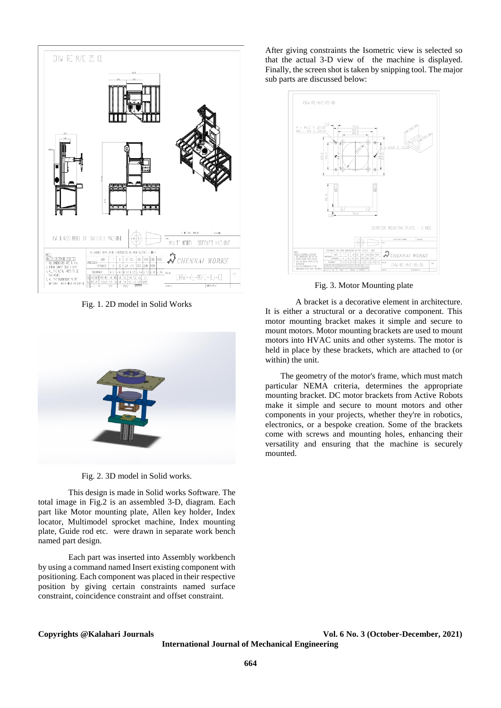

Fig. 1. 2D model in Solid Works



Fig. 2. 3D model in Solid works.

This design is made in Solid works Software. The total image in Fig.2 is an assembled 3-D, diagram. Each part like Motor mounting plate, Allen key holder, Index locator, Multimodel sprocket machine, Index mounting plate, Guide rod etc. were drawn in separate work bench named part design.

Each part was inserted into Assembly workbench by using a command named Insert existing component with positioning. Each component was placed in their respective position by giving certain constraints named surface constraint, coincidence constraint and offset constraint.

After giving constraints the Isometric view is selected so that the actual 3-D view of the machine is displayed. Finally, the screen shot is taken by snipping tool. The major sub parts are discussed below:



Fig. 3. Motor Mounting plate

A bracket is a decorative element in architecture. It is either a structural or a decorative component. This motor mounting bracket makes it simple and secure to mount motors. Motor mounting brackets are used to mount motors into HVAC units and other systems. The motor is held in place by these brackets, which are attached to (or within) the unit.

The geometry of the motor's frame, which must match particular NEMA criteria, determines the appropriate mounting bracket. DC motor brackets from Active Robots make it simple and secure to mount motors and other components in your projects, whether they're in robotics, electronics, or a bespoke creation. Some of the brackets come with screws and mounting holes, enhancing their versatility and ensuring that the machine is securely mounted.

**International Journal of Mechanical Engineering** 

**Copyrights @Kalahari Journals Vol. 6 No. 3 (October-December, 2021)**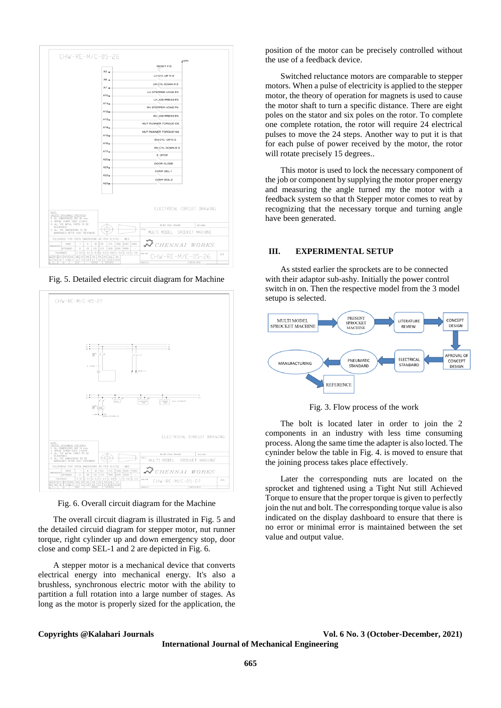

Fig. 5. Detailed electric circuit diagram for Machine



Fig. 6. Overall circuit diagram for the Machine

The overall circuit diagram is illustrated in Fig. 5 and the detailed circuid diagram for stepper motor, nut runner torque, right cylinder up and down emergency stop, door close and comp SEL-1 and 2 are depicted in Fig. 6.

A stepper motor is a mechanical device that converts electrical energy into mechanical energy. It's also a brushless, synchronous electric motor with the ability to partition a full rotation into a large number of stages. As long as the motor is properly sized for the application, the

position of the motor can be precisely controlled without the use of a feedback device.

Switched reluctance motors are comparable to stepper motors. When a pulse of electricity is applied to the stepper motor, the theory of operation for magnets is used to cause the motor shaft to turn a specific distance. There are eight poles on the stator and six poles on the rotor. To complete one complete rotation, the rotor will require 24 electrical pulses to move the 24 steps. Another way to put it is that for each pulse of power received by the motor, the rotor will rotate precisely 15 degrees...

This motor is used to lock the necessary component of the job or component by supplying the motor proper energy and measuring the angle turned my the motor with a feedback system so that th Stepper motor comes to reat by recognizing that the necessary torque and turning angle have been generated.

# **III. EXPERIMENTAL SETUP**

As ststed earlier the sprockets are to be connected with their adaptor sub-ashy. Initially the power control switch in on. Then the respective model from the 3 model setupo is selected.



Fig. 3. Flow process of the work

The bolt is located later in order to join the 2 components in an industry with less time consuming process. Along the same time the adapter is also locted. The cyninder below the table in Fig. 4. is moved to ensure that the joining process takes place effectively.

Later the corresponding nuts are located on the sprocket and tightened using a Tight Nut still Achieved Torque to ensure that the proper torque is given to perfectly join the nut and bolt. The corresponding torque value is also indicated on the display dashboard to ensure that there is no error or minimal error is maintained between the set value and output value.

**Copyrights @Kalahari Journals Vol. 6 No. 3 (October-December, 2021)**

**International Journal of Mechanical Engineering**